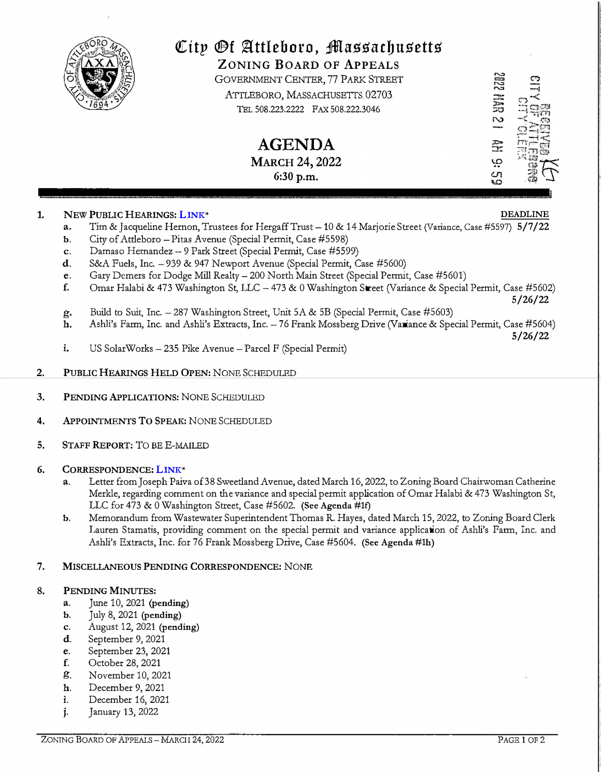

# *City <b>Dt* Attleboro, Massachusetts

**ZONING BOARD OF APPEALS** 

GOVERNMENT CENTER, 77 PARK STREET ATTLEBORO, MASSACHUSETTS 02703 TEL 508.223.2222 FAX 508.222.3046

> **AGENDA**  MARCH 24, 2022 6:30 p.m.

#### **1. NEW PUBLIC HEARINGS: [LINK](https://drive.google.com/drive/folders/1FZQ8sVJEQoGKgyVHV_ddNRjuBbONFWdO?usp=sharing)\***

- a. Tim & Jacqueline Hernon, Trustees for Hergaff Trust 10 & 14 Marjorie Street (Variance, Case #5597) 5/7/22
- b. City of Attleboro Pitas Avenue (Special Permit, Case #5598)
- c. Damaso Hernandez 9 Park Street (Special Permit, Case #5599)
- d. S&A Fuels, Inc. 939 & 947 Newport Avenue (Special Permit, Case #5600)
- e. Gary Demers for Dodge Mill Realty- 200 North Main Street (Special Permit, Case #5601)
- f. Omar Halabi & 473 Washington St, LLC 473 & 0 Washington Street (Variance & Special Permit, Case #5602) 5/26/22
- g. Build to Suit, Inc.  $-287$  Washington Street, Unit 5A & 5B (Special Permit, Case #5603)<br>h. Ashli's Farm. Inc. and Ashli's Extracts. Inc.  $-76$  Frank Mossberg Drive (Variance & Spe
- h. Ashli's Farm, Inc. and Ashli's Extracts, Inc. 76 Frank Mossberg Drive (Variance & Special Permit, Case #5604)
	- 5/26/22
- i. US SolarWorks 235 Pike Avenue Parcel F (Special Permit)
- **2. PUBLIC HEARINGS HELD OPEN: NONE SCHEDULED**
- **3. PENDING APPLICATIONS: NONE SCHEDULED**
- **4. APPOINTMENTS To SPEAK: NONE SCHEDULED**
- **5. STAFF REPORT:** TO **BE E-MAILED**

#### **6. CORRESPONDENCE: [LINK](https://drive.google.com/drive/folders/1m63Dx0HTdr2cKPYNQOPjFB1JSCTswJ-c?usp=sharing)\***

- a. Letter from Joseph Paiva of 38 Sweetland Avenue, dated March 16, **2022,** to Zoning Board Chairwoman Catherine Merkle, regarding comment on the variance and special permit application of Omar Halabi & 473 Washington St, LLC for 473 & 0 Washington Street, Case #5602. (See Agenda #lf)
- b. Memorandum from Wastewater Superintendent Thomas R. Hayes, dated March 15, 2022, to Zoning Board Clerk Lauren Stamatis, providing comment on the special permit and variance application of Ashli's Farm, Inc. and Ashli's Extracts, Inc. for 76 Frank Mossberg Drive, Case #5604. (See Agenda #lh)

#### **7. MISCELLANEOUS PENDING CORRESPONDENCE: NONE**

#### **8. PENDING MINUTES:**

- a. June 10, 2021 (pending)
- b. July 8, 2021 (pending)
- c. August 12, 2021 (pending)
- d. September 9, 2021
- e. September 23, 2021
- **f.** October 28, 2021<br>**g.** November 10, 20
- g. November 10, 2021
- h. December 9, 2021
- i. December 16, 2021
- j. January 13, 2022

## **DEADLINE**

**SOPS HAR** 

гŌ

쯒 ڥ cη